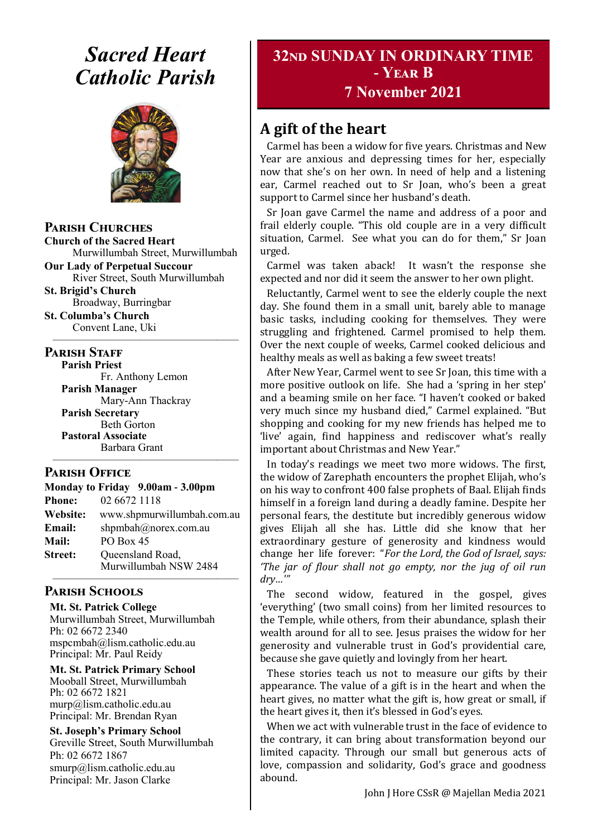# *Sacred Heart Catholic Parish*



**Parish Churches**

**Church of the Sacred Heart** Murwillumbah Street, Murwillumbah

**Our Lady of Perpetual Succour** River Street, South Murwillumbah

**St. Brigid's Church** Broadway, Burringbar **St. Columba's Church**

Convent Lane, Uki —————————————————

#### **PARISH STAFF**

**Parish Priest**

Fr. Anthony Lemon **Parish Manager** Mary-Ann Thackray **Parish Secretary** Beth Gorton **Pastoral Associate** Barbara Grant

#### **Parish Office**

| Monday to Friday 9.00am - 3.00pm |                                           |
|----------------------------------|-------------------------------------------|
| <b>Phone:</b>                    | 02 6672 1118                              |
| <b>Website:</b>                  | www.shpmurwillumbah.com.au                |
| Email:                           | shpmbah@norex.com.au                      |
| <b>Mail:</b>                     | <b>PO Box 45</b>                          |
| <b>Street:</b>                   | Queensland Road,<br>Murwillumbah NSW 2484 |

—————————————————

#### ————————————————— **Parish Schools**

**Mt. St. Patrick College** Murwillumbah Street, Murwillumbah Ph: 02 6672 2340 mspcmbah@lism.catholic.edu.au Principal: Mr. Paul Reidy

**Mt. St. Patrick Primary School** Mooball Street, Murwillumbah Ph: 02 6672 1821 murp@lism.catholic.edu.au Principal: Mr. Brendan Ryan

**St. Joseph's Primary School** Greville Street, South Murwillumbah Ph: 02 6672 1867 smurp@lism.catholic.edu.au Principal: Mr. Jason Clarke

# **32nd SUNDAY IN ORDINARY TIME - Year B**

# **7 November 2021**

# **A gift of the heart**

Carmel has been a widow for five years. Christmas and New Year are anxious and depressing times for her, especially now that she's on her own. In need of help and a listening ear, Carmel reached out to Sr Joan, who's been a great support to Carmel since her husband's death.

Sr Joan gave Carmel the name and address of a poor and frail elderly couple. "This old couple are in a very difficult situation, Carmel. See what you can do for them," Sr Joan urged.

Carmel was taken aback! It wasn't the response she expected and nor did it seem the answer to her own plight.

Reluctantly, Carmel went to see the elderly couple the next day. She found them in a small unit, barely able to manage basic tasks, including cooking for themselves. They were struggling and frightened. Carmel promised to help them. Over the next couple of weeks, Carmel cooked delicious and healthy meals as well as baking a few sweet treats!

After New Year, Carmel went to see Sr Joan, this time with a more positive outlook on life. She had a 'spring in her step' and a beaming smile on her face. "I haven't cooked or baked very much since my husband died," Carmel explained. "But shopping and cooking for my new friends has helped me to 'live' again, find happiness and rediscover what's really important about Christmas and New Year."

In today's readings we meet two more widows. The first, the widow of Zarephath encounters the prophet Elijah, who's on his way to confront 400 false prophets of Baal. Elijah finds himself in a foreign land during a deadly famine. Despite her personal fears, the destitute but incredibly generous widow gives Elijah all she has. Little did she know that her extraordinary gesture of generosity and kindness would change her life forever: "*For the Lord, the God of Israel, says: 'The jar of flour shall not go empty, nor the jug of oil run dry…'"*

The second widow, featured in the gospel, gives 'everything' (two small coins) from her limited resources to the Temple, while others, from their abundance, splash their wealth around for all to see. Jesus praises the widow for her generosity and vulnerable trust in God's providential care, because she gave quietly and lovingly from her heart.

These stories teach us not to measure our gifts by their appearance. The value of a gift is in the heart and when the heart gives, no matter what the gift is, how great or small, if the heart gives it, then it's blessed in God's eyes.

When we act with vulnerable trust in the face of evidence to the contrary, it can bring about transformation beyond our limited capacity. Through our small but generous acts of love, compassion and solidarity, God's grace and goodness abound.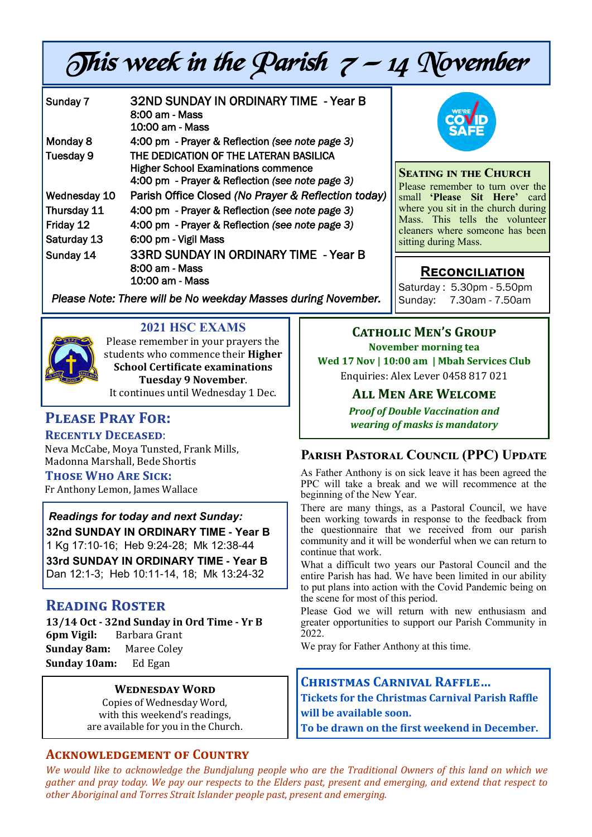# This week in the Parish  $7 - 14$  November

| Sunday 7     | <b>32ND SUNDAY IN ORDINARY TIME - Year B</b><br>8:00 am - Mass<br>10:00 am - Mass                                                       |
|--------------|-----------------------------------------------------------------------------------------------------------------------------------------|
| Monday 8     | 4:00 pm - Prayer & Reflection (see note page 3)                                                                                         |
| Tuesday 9    | THE DEDICATION OF THE LATERAN BASILICA<br><b>Higher School Examinations commence</b><br>4:00 pm - Prayer & Reflection (see note page 3) |
| Wednesday 10 | Parish Office Closed (No Prayer & Reflection today)                                                                                     |
| Thursday 11  | 4:00 pm - Prayer & Reflection (see note page 3)                                                                                         |
| Friday 12    | 4:00 pm - Prayer & Reflection (see note page 3)                                                                                         |
| Saturday 13  | 6:00 pm - Vigil Mass                                                                                                                    |
| Sunday 14    | 33RD SUNDAY IN ORDINARY TIME - Year B<br>8:00 am - Mass<br>10:00 am - Mass                                                              |



**Seating in the Church** Please remember to turn over the small **'Please Sit Here'** card where you sit in the church during Mass. This tells the volunteer cleaners where someone has been sitting during Mass.

# **Reconciliation**

Saturday : 5.30pm - 5.50pm Sunday: 7.30am - 7.50am

*Please Note: There will be No weekday Masses during November.* 



# **2021 HSC EXAMS**

Please remember in your prayers the students who commence their **Higher School Certificate examinations Tuesday 9 November**. It continues until Wednesday 1 Dec.

# **Please Pray For:**

# **Recently Deceased**:

Neva McCabe, Moya Tunsted, Frank Mills, Madonna Marshall, Bede Shortis

#### **Those Who Are Sick:**

Fr Anthony Lemon, James Wallace

# *Readings for today and next Sunday:*

**32nd SUNDAY IN ORDINARY TIME - Year B** 

1 Kg 17:10-16; Heb 9:24-28; Mk 12:38-44

**33rd SUNDAY IN ORDINARY TIME - Year B**  Dan 12:1-3; Heb 10:11-14, 18; Mk 13:24-32

# **Reading Roster**

**13/14 Oct - 32nd Sunday in Ord Time - Yr B 6pm Vigil:** Barbara Grant **Sunday 8am:** Maree Coley **Sunday 10am:** Ed Egan

#### **Wednesday Word**

Copies of Wednesday Word, with this weekend's readings, are available for you in the Church.

#### **Acknowledgement of Country**

**Catholic Men's Group November morning tea Wed 17 Nov | 10:00 am | Mbah Services Club** Enquiries: Alex Lever 0458 817 021

# **All Men Are Welcome**

*Proof of Double Vaccination and wearing of masks is mandatory* 

# **Parish Pastoral Council (PPC) Update**

As Father Anthony is on sick leave it has been agreed the PPC will take a break and we will recommence at the beginning of the New Year.

There are many things, as a Pastoral Council, we have been working towards in response to the feedback from the questionnaire that we received from our parish community and it will be wonderful when we can return to continue that work.

What a difficult two years our Pastoral Council and the entire Parish has had. We have been limited in our ability to put plans into action with the Covid Pandemic being on the scene for most of this period.

Please God we will return with new enthusiasm and greater opportunities to support our Parish Community in 2022.

We pray for Father Anthony at this time.

# **Christmas Carnival Raffle…**

**Tickets for the Christmas Carnival Parish Raffle will be available soon.** 

**To be drawn on the first weekend in December.**

*We would like to acknowledge the Bundjalung people who are the Traditional Owners of this land on which we gather and pray today. We pay our respects to the Elders past, present and emerging, and extend that respect to other Aboriginal and Torres Strait Islander people past, present and emerging.*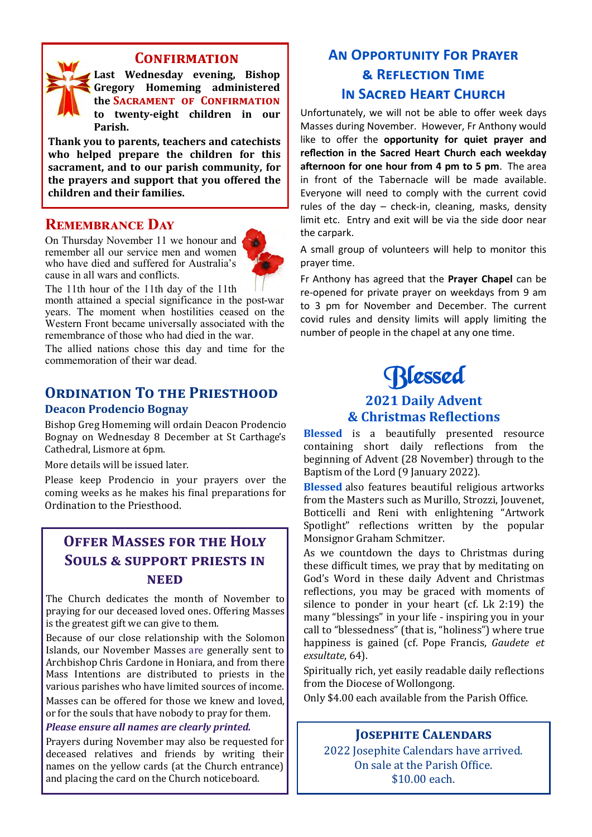#### **Confirmation**

**Last Wednesday evening, Bishop Gregory Homeming administered the Sacrament of Confirmation to twenty-eight children in our Parish.**

**Thank you to parents, teachers and catechists who helped prepare the children for this sacrament, and to our parish community, for the prayers and support that you offered the children and their families.** 

# **Remembrance Day**

On Thursday November 11 we honour and remember all our service men and women who have died and suffered for Australia's cause in all wars and conflicts.



The 11th hour of the 11th day of the 11th month attained a special significance in the post-war years. The moment when hostilities ceased on the Western Front became universally associated with the remembrance of those who had died in the war.

The allied nations chose this day and time for the commemoration of their war dead.

#### **ORDINATION TO THE PRIESTHOOD Deacon Prodencio Bognay**

Bishop Greg Homeming will ordain Deacon Prodencio Bognay on Wednesday 8 December at St Carthage's Cathedral, Lismore at 6pm.

More details will be issued later.

Please keep Prodencio in your prayers over the coming weeks as he makes his final preparations for Ordination to the Priesthood.

# **Offer Masses for the Holy Souls & support priests in need**

The Church dedicates the month of November to praying for our deceased loved ones. Offering Masses is the greatest gift we can give to them.

Because of our close relationship with the Solomon Islands, our November Masses are generally sent to Archbishop Chris Cardone in Honiara, and from there Mass Intentions are distributed to priests in the various parishes who have limited sources of income. Masses can be offered for those we knew and loved, or for the souls that have nobody to pray for them.

#### *Please ensure all names are clearly printed.*

Prayers during November may also be requested for deceased relatives and friends by writing their names on the yellow cards (at the Church entrance) and placing the card on the Church noticeboard.

# **An Opportunity For Prayer & Reflection Time In Sacred Heart Church**

Unfortunately, we will not be able to offer week days Masses during November. However, Fr Anthony would like to offer the **opportunity for quiet prayer and reflection in the Sacred Heart Church each weekday afternoon for one hour from 4 pm to 5 pm**. The area in front of the Tabernacle will be made available. Everyone will need to comply with the current covid rules of the day – check-in, cleaning, masks, density limit etc. Entry and exit will be via the side door near the carpark.

A small group of volunteers will help to monitor this prayer time.

Fr Anthony has agreed that the **Prayer Chapel** can be re-opened for private prayer on weekdays from 9 am to 3 pm for November and December. The current covid rules and density limits will apply limiting the number of people in the chapel at any one time.

# **Rlessed**

# **2021 Daily Advent & Christmas Reflections**

**Blessed** is a beautifully presented resource containing short daily reflections from the beginning of Advent (28 November) through to the Baptism of the Lord (9 January 2022).

**Blessed** also features beautiful religious artworks from the Masters such as Murillo, Strozzi, Jouvenet, Botticelli and Reni with enlightening "Artwork Spotlight" reflections written by the popular Monsignor Graham Schmitzer.

As we countdown the days to Christmas during these difficult times, we pray that by meditating on God's Word in these daily Advent and Christmas reflections, you may be graced with moments of silence to ponder in your heart (cf. Lk 2:19) the many "blessings" in your life - inspiring you in your call to "blessedness" (that is, "holiness") where true happiness is gained (cf. Pope Francis, *Gaudete et exsultate*, 64).

Spiritually rich, yet easily readable daily reflections from the Diocese of Wollongong.

Only \$4.00 each available from the Parish Office.

#### **Josephite Calendars**

2022 Josephite Calendars have arrived. On sale at the Parish Office. \$10.00 each.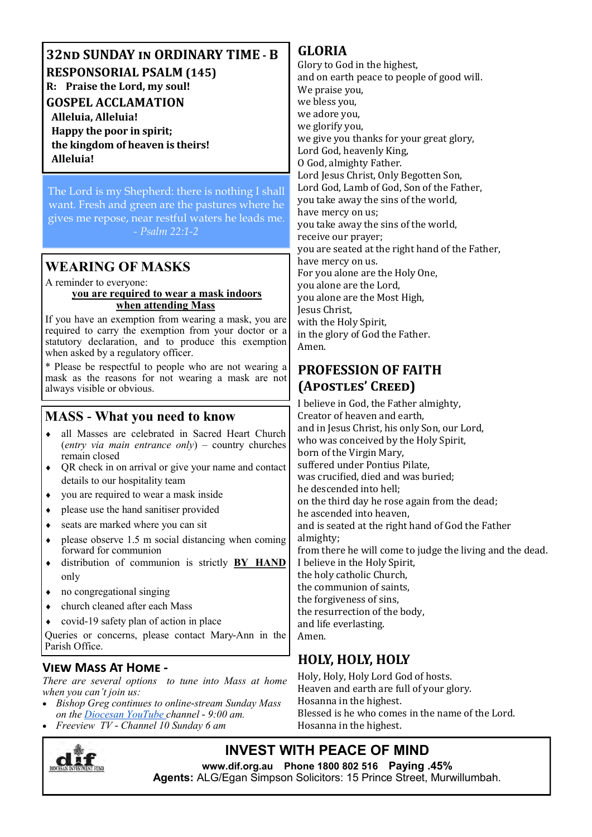**32nd SUNDAY in ORDINARY TIME - B RESPONSORIAL PSALM (145) R: Praise the Lord, my soul! GOSPEL ACCLAMATION Alleluia, Alleluia! Happy the poor in spirit; the kingdom of heaven is theirs! Alleluia!**

The Lord is my Shepherd: there is nothing I shall want. Fresh and green are the pastures where he gives me repose, near restful waters he leads me. *- Psalm 22:1-2* 

# **WEARING OF MASKS**

A reminder to everyone:

#### **you are required to wear a mask indoors when attending Mass**

If you have an exemption from wearing a mask, you are required to carry the exemption from your doctor or a statutory declaration, and to produce this exemption when asked by a regulatory officer.

\* Please be respectful to people who are not wearing a mask as the reasons for not wearing a mask are not always visible or obvious.

# **MASS - What you need to know**

- all Masses are celebrated in Sacred Heart Church (*entry via main entrance only*) – country churches remain closed
- QR check in on arrival or give your name and contact details to our hospitality team
- you are required to wear a mask inside
- please use the hand sanitiser provided
- seats are marked where you can sit
- $\bullet$  please observe 1.5 m social distancing when coming forward for communion
- distribution of communion is strictly **BY HAND**  only
- no congregational singing
- church cleaned after each Mass
- covid-19 safety plan of action in place

Queries or concerns, please contact Mary-Ann in the Parish Office.

# **View Mass At Home -**

*There are several options to tune into Mass at home when you can't join us:* 

- *Bishop Greg continues to online-stream Sunday Mass on the Diocesan YouTube channel - 9:00 am.*
- *Freeview TV - Channel 10 Sunday 6 am*



# **GLORIA**

Glory to God in the highest, and on earth peace to people of good will. We praise you, we bless you, we adore you, we glorify you, we give you thanks for your great glory, Lord God, heavenly King, O God, almighty Father. Lord Jesus Christ, Only Begotten Son, Lord God, Lamb of God, Son of the Father, you take away the sins of the world, have mercy on us; you take away the sins of the world, receive our prayer; you are seated at the right hand of the Father, have mercy on us. For you alone are the Holy One, you alone are the Lord, you alone are the Most High, Jesus Christ, with the Holy Spirit, in the glory of God the Father. Amen.

# **PROFESSION OF FAITH (Apostles' Creed)**

I believe in God, the Father almighty, Creator of heaven and earth, and in Jesus Christ, his only Son, our Lord, who was conceived by the Holy Spirit, born of the Virgin Mary, suffered under Pontius Pilate, was crucified, died and was buried; he descended into hell; on the third day he rose again from the dead; he ascended into heaven, and is seated at the right hand of God the Father almighty; from there he will come to judge the living and the dead. I believe in the Holy Spirit, the holy catholic Church, the communion of saints, the forgiveness of sins, the resurrection of the body, and life everlasting. Amen.

# **HOLY, HOLY, HOLY**

Holy, Holy, Holy Lord God of hosts. Heaven and earth are full of your glory. Hosanna in the highest. Blessed is he who comes in the name of the Lord. Hosanna in the highest.

# **INVEST WITH PEACE OF MIND**

**www.dif.org.au Phone 1800 802 516 Paying .45% Agents:** ALG/Egan Simpson Solicitors: 15 Prince Street, Murwillumbah.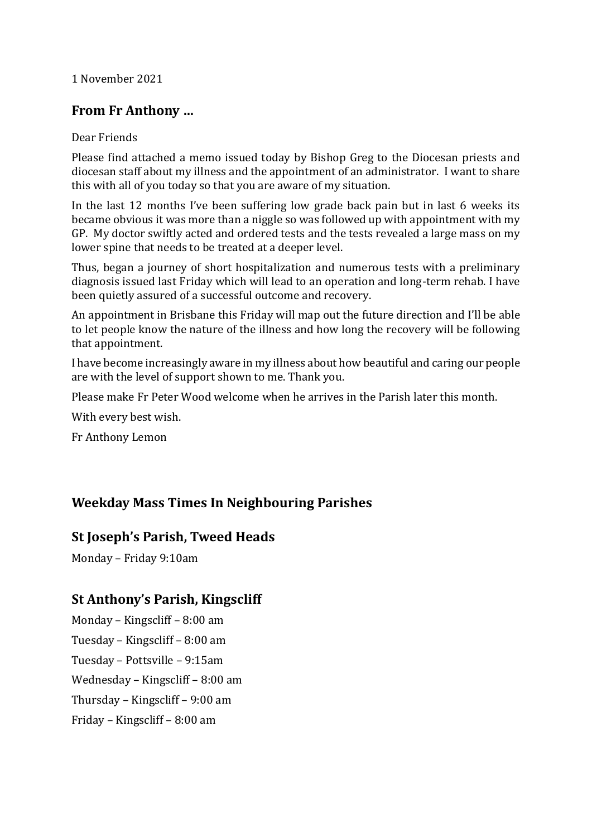#### 1 November 2021

# **From Fr Anthony …**

#### Dear Friends

Please find attached a memo issued today by Bishop Greg to the Diocesan priests and diocesan staff about my illness and the appointment of an administrator. I want to share this with all of you today so that you are aware of my situation.

In the last 12 months I've been suffering low grade back pain but in last 6 weeks its became obvious it was more than a niggle so was followed up with appointment with my GP. My doctor swiftly acted and ordered tests and the tests revealed a large mass on my lower spine that needs to be treated at a deeper level.

Thus, began a journey of short hospitalization and numerous tests with a preliminary diagnosis issued last Friday which will lead to an operation and long-term rehab. I have been quietly assured of a successful outcome and recovery.

An appointment in Brisbane this Friday will map out the future direction and I'll be able to let people know the nature of the illness and how long the recovery will be following that appointment.

I have become increasingly aware in my illness about how beautiful and caring our people are with the level of support shown to me. Thank you.

Please make Fr Peter Wood welcome when he arrives in the Parish later this month.

With every best wish.

Fr Anthony Lemon

# **Weekday Mass Times In Neighbouring Parishes**

#### **St Joseph's Parish, Tweed Heads**

Monday – Friday 9:10am

# **St Anthony's Parish, Kingscliff**

Monday – Kingscliff – 8:00 am Tuesday – Kingscliff – 8:00 am Tuesday – Pottsville – 9:15am Wednesday – Kingscliff – 8:00 am Thursday – Kingscliff – 9:00 am Friday – Kingscliff – 8:00 am